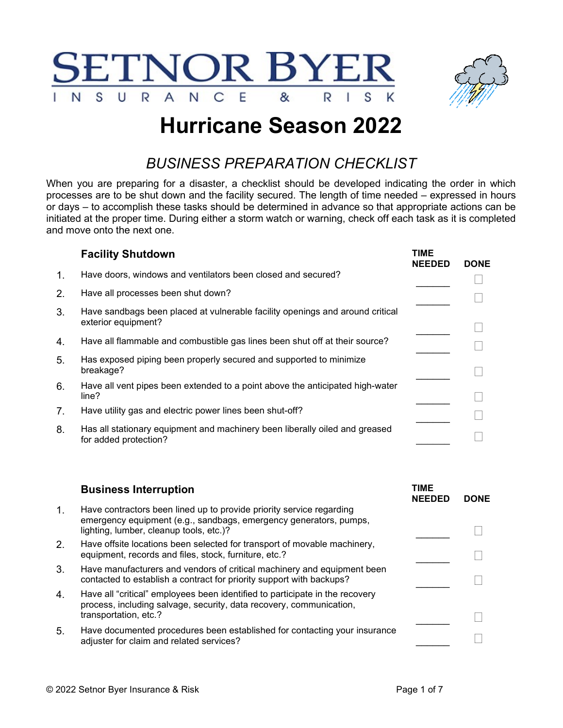



## Hurricane Season 2022

## BUSINESS PREPARATION CHECKLIST

When you are preparing for a disaster, a checklist should be developed indicating the order in which processes are to be shut down and the facility secured. The length of time needed – expressed in hours or days – to accomplish these tasks should be determined in advance so that appropriate actions can be initiated at the proper time. During either a storm watch or warning, check off each task as it is completed and move onto the next one.

|                | <b>Facility Shutdown</b>                                                                             | <b>TIME</b><br><b>NEEDED</b> | <b>DONE</b> |
|----------------|------------------------------------------------------------------------------------------------------|------------------------------|-------------|
| $\mathbf{1}$ . | Have doors, windows and ventilators been closed and secured?                                         |                              |             |
| 2.             | Have all processes been shut down?                                                                   |                              |             |
| 3.             | Have sandbags been placed at vulnerable facility openings and around critical<br>exterior equipment? |                              |             |
| 4.             | Have all flammable and combustible gas lines been shut off at their source?                          |                              |             |
| 5.             | Has exposed piping been properly secured and supported to minimize<br>breakage?                      |                              |             |
| 6.             | Have all vent pipes been extended to a point above the anticipated high-water<br>line?               |                              |             |
| 7 <sub>1</sub> | Have utility gas and electric power lines been shut-off?                                             |                              |             |
| 8.             | Has all stationary equipment and machinery been liberally oiled and greased<br>for added protection? |                              |             |

|    | <b>Business Interruption</b>                                                                                                                                                         | TIME<br><b>NEEDED</b> | <b>DONE</b> |
|----|--------------------------------------------------------------------------------------------------------------------------------------------------------------------------------------|-----------------------|-------------|
| 1. | Have contractors been lined up to provide priority service regarding<br>emergency equipment (e.g., sandbags, emergency generators, pumps,<br>lighting, lumber, cleanup tools, etc.)? |                       |             |
| 2. | Have offsite locations been selected for transport of movable machinery,<br>equipment, records and files, stock, furniture, etc.?                                                    |                       |             |
| 3. | Have manufacturers and vendors of critical machinery and equipment been<br>contacted to establish a contract for priority support with backups?                                      |                       |             |
| 4. | Have all "critical" employees been identified to participate in the recovery<br>process, including salvage, security, data recovery, communication,<br>transportation, etc.?         |                       |             |
|    |                                                                                                                                                                                      |                       |             |
| 5. | Have documented procedures been established for contacting your insurance<br>adjuster for claim and related services?                                                                |                       |             |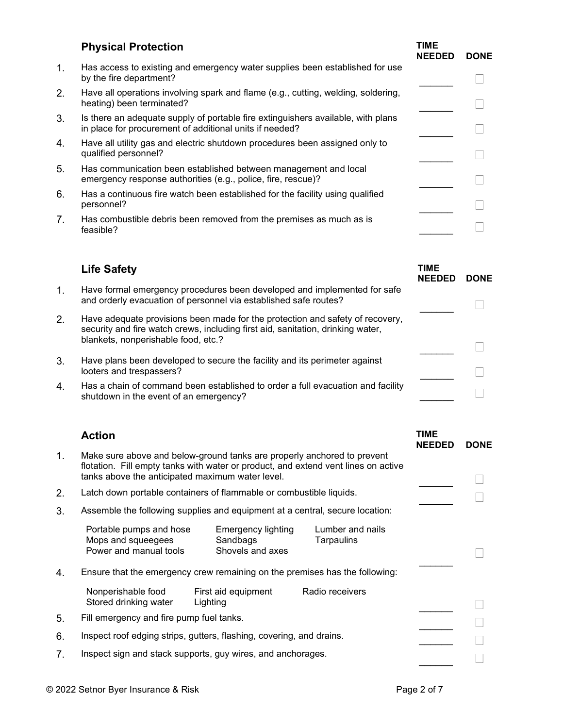|         | <b>Physical Protection</b>                                                                                                                  | TIME<br><b>NEEDED</b> | <b>DONE</b> |
|---------|---------------------------------------------------------------------------------------------------------------------------------------------|-----------------------|-------------|
| $1_{-}$ | Has access to existing and emergency water supplies been established for use<br>by the fire department?                                     |                       |             |
| 2.      | Have all operations involving spark and flame (e.g., cutting, welding, soldering,<br>heating) been terminated?                              |                       |             |
| 3.      | Is there an adequate supply of portable fire extinguishers available, with plans<br>in place for procurement of additional units if needed? |                       |             |
| 4.      | Have all utility gas and electric shutdown procedures been assigned only to<br>qualified personnel?                                         |                       |             |
| 5.      | Has communication been established between management and local<br>emergency response authorities (e.g., police, fire, rescue)?             |                       |             |
| 6.      | Has a continuous fire watch been established for the facility using qualified<br>personnel?                                                 |                       |             |
| 7.      | Has combustible debris been removed from the premises as much as is<br>feasible?                                                            |                       |             |
|         |                                                                                                                                             |                       |             |

|    | <b>Life Safety</b>                                                                                                                                                                                      | <b>TIME</b><br><b>NEEDED</b> | <b>DONE</b> |
|----|---------------------------------------------------------------------------------------------------------------------------------------------------------------------------------------------------------|------------------------------|-------------|
| 1. | Have formal emergency procedures been developed and implemented for safe<br>and orderly evacuation of personnel via established safe routes?                                                            |                              |             |
| 2. | Have adequate provisions been made for the protection and safety of recovery,<br>security and fire watch crews, including first aid, sanitation, drinking water,<br>blankets, nonperishable food, etc.? |                              |             |
| 3. | Have plans been developed to secure the facility and its perimeter against<br>looters and trespassers?                                                                                                  |                              |             |
| 4. | Has a chain of command been established to order a full evacuation and facility<br>shutdown in the event of an emergency?                                                                               |                              |             |

| 1.<br>Make sure above and below-ground tanks are properly anchored to prevent<br>flotation. Fill empty tanks with water or product, and extend vent lines on active<br>tanks above the anticipated maximum water level.<br>2.<br>Latch down portable containers of flammable or combustible liquids.<br>3.<br>Assemble the following supplies and equipment at a central, secure location:<br><b>Emergency lighting</b><br>Lumber and nails<br>Portable pumps and hose<br>Mops and squeegees<br>Sandbags<br>Tarpaulins<br>Power and manual tools<br>Shovels and axes<br>4.<br>Ensure that the emergency crew remaining on the premises has the following:<br>Nonperishable food<br>First aid equipment<br>Radio receivers<br>Stored drinking water<br>Lighting<br>5.<br>Fill emergency and fire pump fuel tanks.<br>6.<br>Inspect roof edging strips, gutters, flashing, covering, and drains.<br>7.<br>Inspect sign and stack supports, guy wires, and anchorages. | <b>Action</b> |  | TIME<br><b>NEEDED</b> | <b>DONE</b> |
|---------------------------------------------------------------------------------------------------------------------------------------------------------------------------------------------------------------------------------------------------------------------------------------------------------------------------------------------------------------------------------------------------------------------------------------------------------------------------------------------------------------------------------------------------------------------------------------------------------------------------------------------------------------------------------------------------------------------------------------------------------------------------------------------------------------------------------------------------------------------------------------------------------------------------------------------------------------------|---------------|--|-----------------------|-------------|
|                                                                                                                                                                                                                                                                                                                                                                                                                                                                                                                                                                                                                                                                                                                                                                                                                                                                                                                                                                     |               |  |                       |             |
|                                                                                                                                                                                                                                                                                                                                                                                                                                                                                                                                                                                                                                                                                                                                                                                                                                                                                                                                                                     |               |  |                       |             |
|                                                                                                                                                                                                                                                                                                                                                                                                                                                                                                                                                                                                                                                                                                                                                                                                                                                                                                                                                                     |               |  |                       |             |
|                                                                                                                                                                                                                                                                                                                                                                                                                                                                                                                                                                                                                                                                                                                                                                                                                                                                                                                                                                     |               |  |                       |             |
|                                                                                                                                                                                                                                                                                                                                                                                                                                                                                                                                                                                                                                                                                                                                                                                                                                                                                                                                                                     |               |  |                       |             |
|                                                                                                                                                                                                                                                                                                                                                                                                                                                                                                                                                                                                                                                                                                                                                                                                                                                                                                                                                                     |               |  |                       |             |
|                                                                                                                                                                                                                                                                                                                                                                                                                                                                                                                                                                                                                                                                                                                                                                                                                                                                                                                                                                     |               |  |                       |             |
|                                                                                                                                                                                                                                                                                                                                                                                                                                                                                                                                                                                                                                                                                                                                                                                                                                                                                                                                                                     |               |  |                       |             |
|                                                                                                                                                                                                                                                                                                                                                                                                                                                                                                                                                                                                                                                                                                                                                                                                                                                                                                                                                                     |               |  |                       |             |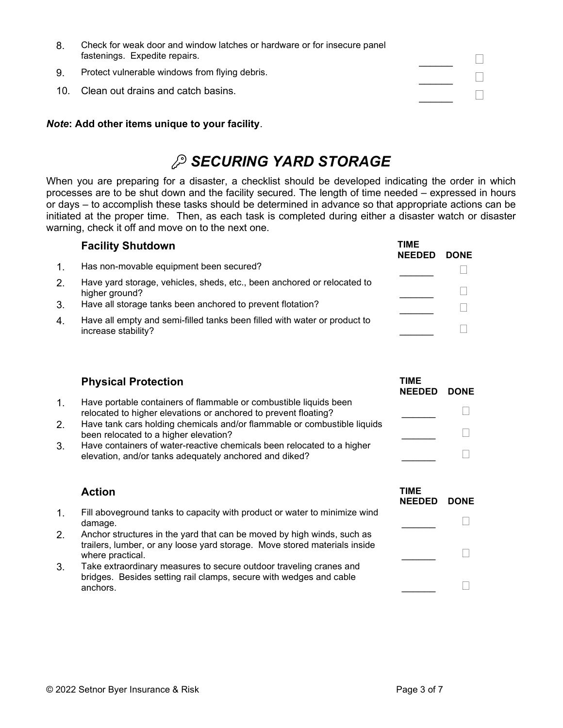| 8. | Check for weak door and window latches or hardware or for insecure panel<br>fastenings. Expedite repairs. |  |
|----|-----------------------------------------------------------------------------------------------------------|--|
| 9. | Protect vulnerable windows from flying debris.                                                            |  |
|    | 10. Clean out drains and catch basins.                                                                    |  |

#### Note: Add other items unique to your facility.

### **SECURING YARD STORAGE**

When you are preparing for a disaster, a checklist should be developed indicating the order in which processes are to be shut down and the facility secured. The length of time needed – expressed in hours or days – to accomplish these tasks should be determined in advance so that appropriate actions can be initiated at the proper time. Then, as each task is completed during either a disaster watch or disaster warning, check it off and move on to the next one.

|         | <b>Facility Shutdown</b>                                                                         | <b>TIME</b><br><b>NEEDED</b> | <b>DONE</b> |
|---------|--------------------------------------------------------------------------------------------------|------------------------------|-------------|
| $1_{-}$ | Has non-movable equipment been secured?                                                          |                              |             |
| 2.      | Have yard storage, vehicles, sheds, etc., been anchored or relocated to<br>higher ground?        |                              |             |
| 3.      | Have all storage tanks been anchored to prevent flotation?                                       |                              |             |
| 4.      | Have all empty and semi-filled tanks been filled with water or product to<br>increase stability? |                              |             |

|    | <b>Physical Protection</b>                                                                                                           | TIME<br><b>NEEDED</b> | <b>DONE</b> |
|----|--------------------------------------------------------------------------------------------------------------------------------------|-----------------------|-------------|
|    | Have portable containers of flammable or combustible liquids been<br>relocated to higher elevations or anchored to prevent floating? |                       |             |
| 2. | Have tank cars holding chemicals and/or flammable or combustible liquids<br>been relocated to a higher elevation?                    |                       |             |
| 3. | Have containers of water-reactive chemicals been relocated to a higher<br>elevation, and/or tanks adequately anchored and diked?     |                       |             |

|  | Action |
|--|--------|
|  |        |

|    | <b>Action</b>                                                                                                                                                           | <b>TIME</b><br><b>NEEDED</b> | <b>DONE</b> |
|----|-------------------------------------------------------------------------------------------------------------------------------------------------------------------------|------------------------------|-------------|
| 1. | Fill aboveground tanks to capacity with product or water to minimize wind<br>damage.                                                                                    |                              |             |
| 2. | Anchor structures in the yard that can be moved by high winds, such as<br>trailers, lumber, or any loose yard storage. Move stored materials inside<br>where practical. |                              |             |
| 3. | Take extraordinary measures to secure outdoor traveling cranes and<br>bridges. Besides setting rail clamps, secure with wedges and cable<br>anchors.                    |                              |             |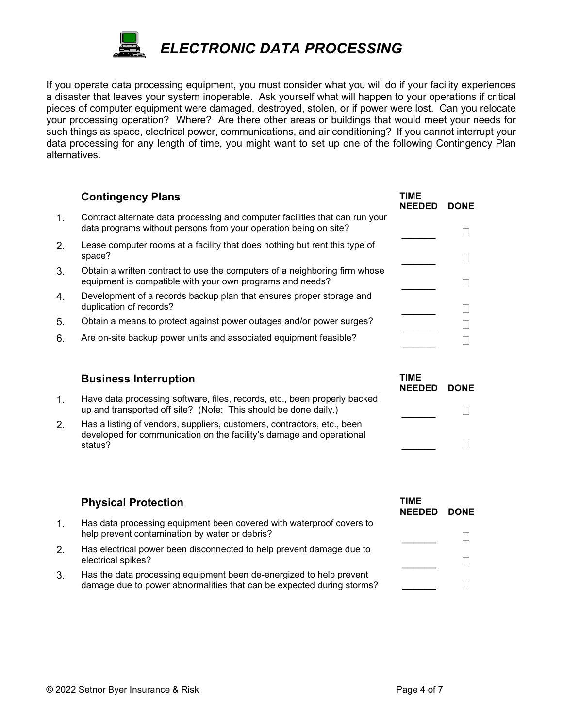

If you operate data processing equipment, you must consider what you will do if your facility experiences a disaster that leaves your system inoperable. Ask yourself what will happen to your operations if critical pieces of computer equipment were damaged, destroyed, stolen, or if power were lost. Can you relocate your processing operation? Where? Are there other areas or buildings that would meet your needs for such things as space, electrical power, communications, and air conditioning? If you cannot interrupt your data processing for any length of time, you might want to set up one of the following Contingency Plan alternatives.

|    | <b>Contingency Plans</b>                                                                                                                         | TIME<br><b>NEEDED</b> | <b>DONE</b> |
|----|--------------------------------------------------------------------------------------------------------------------------------------------------|-----------------------|-------------|
| 1. | Contract alternate data processing and computer facilities that can run your<br>data programs without persons from your operation being on site? |                       |             |
| 2. | Lease computer rooms at a facility that does nothing but rent this type of<br>space?                                                             |                       |             |
| 3. | Obtain a written contract to use the computers of a neighboring firm whose<br>equipment is compatible with your own programs and needs?          |                       |             |
| 4. | Development of a records backup plan that ensures proper storage and<br>duplication of records?                                                  |                       |             |
| 5. | Obtain a means to protect against power outages and/or power surges?                                                                             |                       |             |
| 6. | Are on-site backup power units and associated equipment feasible?                                                                                |                       |             |
|    |                                                                                                                                                  |                       |             |

#### Business Interruption Time

|                                                                                                                                                            | NEEDED DONE |  |
|------------------------------------------------------------------------------------------------------------------------------------------------------------|-------------|--|
| Have data processing software, files, records, etc., been properly backed<br>up and transported off site? (Note: This should be done daily.)               |             |  |
| Has a listing of vendors, suppliers, customers, contractors, etc., been<br>developed for communication on the facility's damage and operational<br>status? |             |  |

|    | <b>Physical Protection</b>                                                                                                                   | TIME<br><b>NEEDED</b> | <b>DONE</b> |
|----|----------------------------------------------------------------------------------------------------------------------------------------------|-----------------------|-------------|
|    | Has data processing equipment been covered with waterproof covers to<br>help prevent contamination by water or debris?                       |                       |             |
| 2. | Has electrical power been disconnected to help prevent damage due to<br>electrical spikes?                                                   |                       |             |
| 3. | Has the data processing equipment been de-energized to help prevent<br>damage due to power abnormalities that can be expected during storms? |                       |             |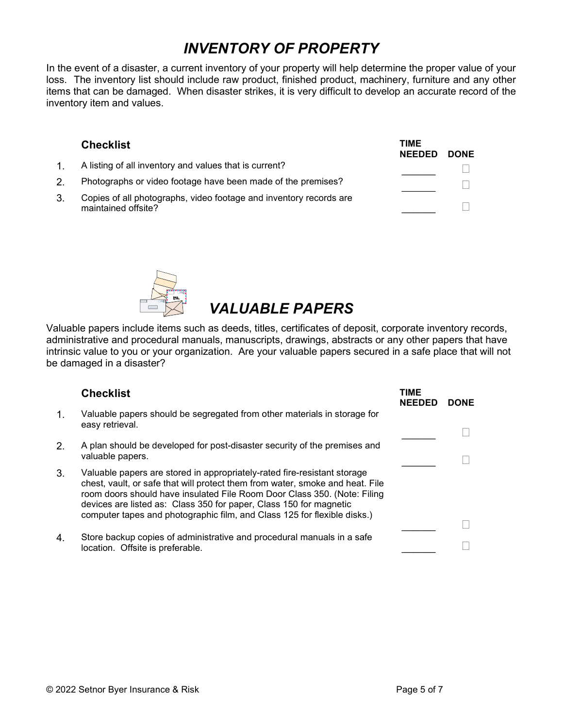## INVENTORY OF PROPERTY

In the event of a disaster, a current inventory of your property will help determine the proper value of your loss. The inventory list should include raw product, finished product, machinery, furniture and any other items that can be damaged. When disaster strikes, it is very difficult to develop an accurate record of the inventory item and values.

#### Checklist **TIME** NEEDED DONE 1. A listing of all inventory and values that is current?  $\Box$ 2. Photographs or video footage have been made of the premises? 3. Copies of all photographs, video footage and inventory records are maintained offsite?  $\Box$



# VALUABLE PAPERS

Valuable papers include items such as deeds, titles, certificates of deposit, corporate inventory records, administrative and procedural manuals, manuscripts, drawings, abstracts or any other papers that have intrinsic value to you or your organization. Are your valuable papers secured in a safe place that will not be damaged in a disaster?

|               | <b>Checklist</b>                                                                                                                                                                                                                                                                                                                                                                        | TIME<br><b>NEEDED</b> | <b>DONE</b> |
|---------------|-----------------------------------------------------------------------------------------------------------------------------------------------------------------------------------------------------------------------------------------------------------------------------------------------------------------------------------------------------------------------------------------|-----------------------|-------------|
| $\mathbf 1$ . | Valuable papers should be segregated from other materials in storage for<br>easy retrieval.                                                                                                                                                                                                                                                                                             |                       |             |
| 2.            | A plan should be developed for post-disaster security of the premises and<br>valuable papers.                                                                                                                                                                                                                                                                                           |                       |             |
| 3.            | Valuable papers are stored in appropriately-rated fire-resistant storage<br>chest, vault, or safe that will protect them from water, smoke and heat. File<br>room doors should have insulated File Room Door Class 350. (Note: Filing<br>devices are listed as: Class 350 for paper, Class 150 for magnetic<br>computer tapes and photographic film, and Class 125 for flexible disks.) |                       |             |
| 4.            | Store backup copies of administrative and procedural manuals in a safe<br>location. Offsite is preferable.                                                                                                                                                                                                                                                                              |                       |             |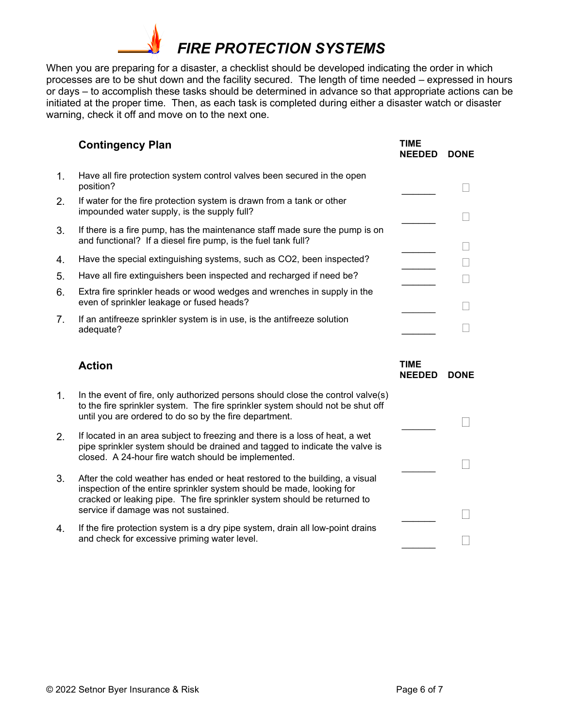

When you are preparing for a disaster, a checklist should be developed indicating the order in which processes are to be shut down and the facility secured. The length of time needed – expressed in hours or days – to accomplish these tasks should be determined in advance so that appropriate actions can be initiated at the proper time. Then, as each task is completed during either a disaster watch or disaster warning, check it off and move on to the next one.

|                | <b>Contingency Plan</b>                                                                                                                      | TIME<br><b>NEEDED</b> | <b>DONE</b> |
|----------------|----------------------------------------------------------------------------------------------------------------------------------------------|-----------------------|-------------|
| 1.             | Have all fire protection system control valves been secured in the open<br>position?                                                         |                       |             |
| 2.             | If water for the fire protection system is drawn from a tank or other<br>impounded water supply, is the supply full?                         |                       |             |
| 3.             | If there is a fire pump, has the maintenance staff made sure the pump is on<br>and functional? If a diesel fire pump, is the fuel tank full? |                       |             |
| 4.             | Have the special extinguishing systems, such as CO2, been inspected?                                                                         |                       |             |
| 5.             | Have all fire extinguishers been inspected and recharged if need be?                                                                         |                       |             |
| 6.             | Extra fire sprinkler heads or wood wedges and wrenches in supply in the<br>even of sprinkler leakage or fused heads?                         |                       |             |
| 7 <sub>1</sub> | If an antifreeze sprinkler system is in use, is the antifreeze solution<br>adequate?                                                         |                       |             |

#### Action **TIME**

| TIME          |             |
|---------------|-------------|
| <b>NEEDED</b> | <b>DONE</b> |
|               |             |

 $\Box$ 

 $\Box$ 

 $\Box$ 

- 1. In the event of fire, only authorized persons should close the control valve(s) to the fire sprinkler system. The fire sprinkler system should not be shut off until you are ordered to do so by the fire department.
- 2. If located in an area subject to freezing and there is a loss of heat, a wet pipe sprinkler system should be drained and tagged to indicate the valve is closed. A 24-hour fire watch should be implemented.
- 3. After the cold weather has ended or heat restored to the building, a visual inspection of the entire sprinkler system should be made, looking for cracked or leaking pipe. The fire sprinkler system should be returned to service if damage was not sustained.
- 4. If the fire protection system is a dry pipe system, drain all low-point drains and check for excessive priming water level.  $\Box$